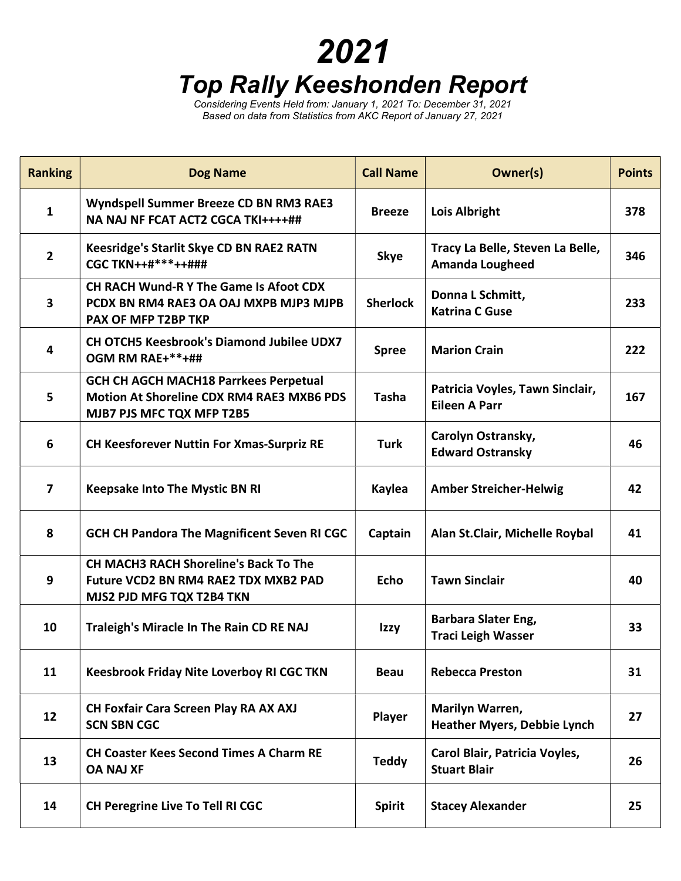## 2021 Top Rally Keeshonden Report

Considering Events Held from: January 1, 2021 To: December 31, 2021 Based on data from Statistics from AKC Report of January 27, 2021

| <b>Ranking</b>          | <b>Dog Name</b>                                                                                                               | <b>Call Name</b> | Owner(s)                                                   | <b>Points</b> |
|-------------------------|-------------------------------------------------------------------------------------------------------------------------------|------------------|------------------------------------------------------------|---------------|
| $\mathbf{1}$            | Wyndspell Summer Breeze CD BN RM3 RAE3<br>NA NAJ NF FCAT ACT2 CGCA TKI++++##                                                  | <b>Breeze</b>    | <b>Lois Albright</b>                                       | 378           |
| $\overline{2}$          | Keesridge's Starlit Skye CD BN RAE2 RATN<br><b>CGC TKN++#***++###</b>                                                         | <b>Skye</b>      | Tracy La Belle, Steven La Belle,<br><b>Amanda Lougheed</b> | 346           |
| $\overline{\mathbf{3}}$ | CH RACH Wund-R Y The Game Is Afoot CDX<br>PCDX BN RM4 RAE3 OA OAJ MXPB MJP3 MJPB<br>PAX OF MFP T2BP TKP                       | <b>Sherlock</b>  | Donna L Schmitt,<br><b>Katrina C Guse</b>                  | 233           |
| 4                       | <b>CH OTCH5 Keesbrook's Diamond Jubilee UDX7</b><br>OGM RM RAE+**+##                                                          | <b>Spree</b>     | <b>Marion Crain</b>                                        | 222           |
| 5                       | <b>GCH CH AGCH MACH18 Parrkees Perpetual</b><br><b>Motion At Shoreline CDX RM4 RAE3 MXB6 PDS</b><br>MJB7 PJS MFC TQX MFP T2B5 | <b>Tasha</b>     | Patricia Voyles, Tawn Sinclair,<br><b>Eileen A Parr</b>    | 167           |
| 6                       | <b>CH Keesforever Nuttin For Xmas-Surpriz RE</b>                                                                              | <b>Turk</b>      | Carolyn Ostransky,<br><b>Edward Ostransky</b>              | 46            |
| $\overline{\mathbf{z}}$ | <b>Keepsake Into The Mystic BN RI</b>                                                                                         | Kaylea           | <b>Amber Streicher-Helwig</b>                              | 42            |
| 8                       | <b>GCH CH Pandora The Magnificent Seven RI CGC</b>                                                                            | Captain          | Alan St.Clair, Michelle Roybal                             | 41            |
| 9                       | <b>CH MACH3 RACH Shoreline's Back To The</b><br>Future VCD2 BN RM4 RAE2 TDX MXB2 PAD<br>MJS2 PJD MFG TQX T2B4 TKN             | <b>Echo</b>      | <b>Tawn Sinclair</b>                                       | 40            |
| 10                      | Traleigh's Miracle In The Rain CD RE NAJ                                                                                      | Izzy             | <b>Barbara Slater Eng,</b><br><b>Traci Leigh Wasser</b>    | 33            |
| 11                      | <b>Keesbrook Friday Nite Loverboy RI CGC TKN</b>                                                                              | <b>Beau</b>      | <b>Rebecca Preston</b>                                     | 31            |
| 12                      | CH Foxfair Cara Screen Play RA AX AXJ<br><b>SCN SBN CGC</b>                                                                   | Player           | Marilyn Warren,<br><b>Heather Myers, Debbie Lynch</b>      | 27            |
| 13                      | <b>CH Coaster Kees Second Times A Charm RE</b><br><b>OA NAJ XF</b>                                                            | <b>Teddy</b>     | Carol Blair, Patricia Voyles,<br><b>Stuart Blair</b>       | 26            |
| 14                      | <b>CH Peregrine Live To Tell RI CGC</b>                                                                                       | <b>Spirit</b>    | <b>Stacey Alexander</b>                                    | 25            |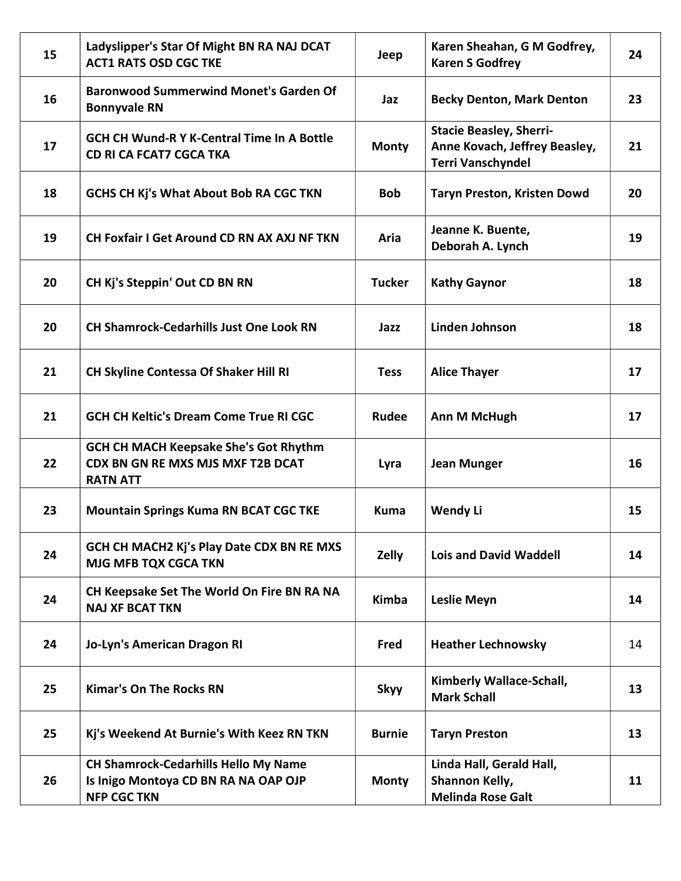| 15 | Ladyslipper's Star Of Might BN RA NAJ DCAT<br><b>ACT1 RATS OSD CGC TKE</b>                                | Jeep          | Karen Sheahan, G M Godfrey,<br><b>Karen S Godfrey</b>                                       | 24 |
|----|-----------------------------------------------------------------------------------------------------------|---------------|---------------------------------------------------------------------------------------------|----|
| 16 | <b>Baronwood Summerwind Monet's Garden Of</b><br><b>Bonnyvale RN</b>                                      | Jaz           | <b>Becky Denton, Mark Denton</b>                                                            | 23 |
| 17 | <b>GCH CH Wund-R Y K-Central Time In A Bottle</b><br><b>CD RI CA FCAT7 CGCA TKA</b>                       | <b>Monty</b>  | <b>Stacie Beasley, Sherri-</b><br>Anne Kovach, Jeffrey Beasley,<br><b>Terri Vanschyndel</b> | 21 |
| 18 | <b>GCHS CH Kj's What About Bob RA CGC TKN</b>                                                             | <b>Bob</b>    | <b>Taryn Preston, Kristen Dowd</b>                                                          | 20 |
| 19 | <b>CH Foxfair I Get Around CD RN AX AXJ NF TKN</b>                                                        | Aria          | Jeanne K. Buente,<br>Deborah A. Lynch                                                       | 19 |
| 20 | CH Kj's Steppin' Out CD BN RN                                                                             | <b>Tucker</b> | <b>Kathy Gaynor</b>                                                                         | 18 |
| 20 | <b>CH Shamrock-Cedarhills Just One Look RN</b>                                                            | Jazz          | <b>Linden Johnson</b>                                                                       | 18 |
| 21 | <b>CH Skyline Contessa Of Shaker Hill RI</b>                                                              | <b>Tess</b>   | <b>Alice Thayer</b>                                                                         | 17 |
| 21 | <b>GCH CH Keltic's Dream Come True RI CGC</b>                                                             | Rudee         | Ann M McHugh                                                                                | 17 |
| 22 | <b>GCH CH MACH Keepsake She's Got Rhythm</b><br>CDX BN GN RE MXS MJS MXF T2B DCAT<br><b>RATN ATT</b>      | Lyra          | <b>Jean Munger</b>                                                                          | 16 |
| 23 | <b>Mountain Springs Kuma RN BCAT CGC TKE</b>                                                              | <b>Kuma</b>   | Wendy Li                                                                                    | 15 |
| 24 | GCH CH MACH2 Kj's Play Date CDX BN RE MXS<br><b>MJG MFB TQX CGCA TKN</b>                                  | Zelly         | <b>Lois and David Waddell</b>                                                               | 14 |
| 24 | CH Keepsake Set The World On Fire BN RA NA<br><b>NAJ XF BCAT TKN</b>                                      | <b>Kimba</b>  | <b>Leslie Meyn</b>                                                                          | 14 |
| 24 | Jo-Lyn's American Dragon RI                                                                               | Fred          | <b>Heather Lechnowsky</b>                                                                   | 14 |
| 25 | <b>Kimar's On The Rocks RN</b>                                                                            | <b>Skyy</b>   | Kimberly Wallace-Schall,<br><b>Mark Schall</b>                                              | 13 |
| 25 | Kj's Weekend At Burnie's With Keez RN TKN                                                                 | <b>Burnie</b> | <b>Taryn Preston</b>                                                                        | 13 |
| 26 | <b>CH Shamrock-Cedarhills Hello My Name</b><br>Is Inigo Montoya CD BN RA NA OAP OJP<br><b>NFP CGC TKN</b> | <b>Monty</b>  | Linda Hall, Gerald Hall,<br>Shannon Kelly,<br><b>Melinda Rose Galt</b>                      | 11 |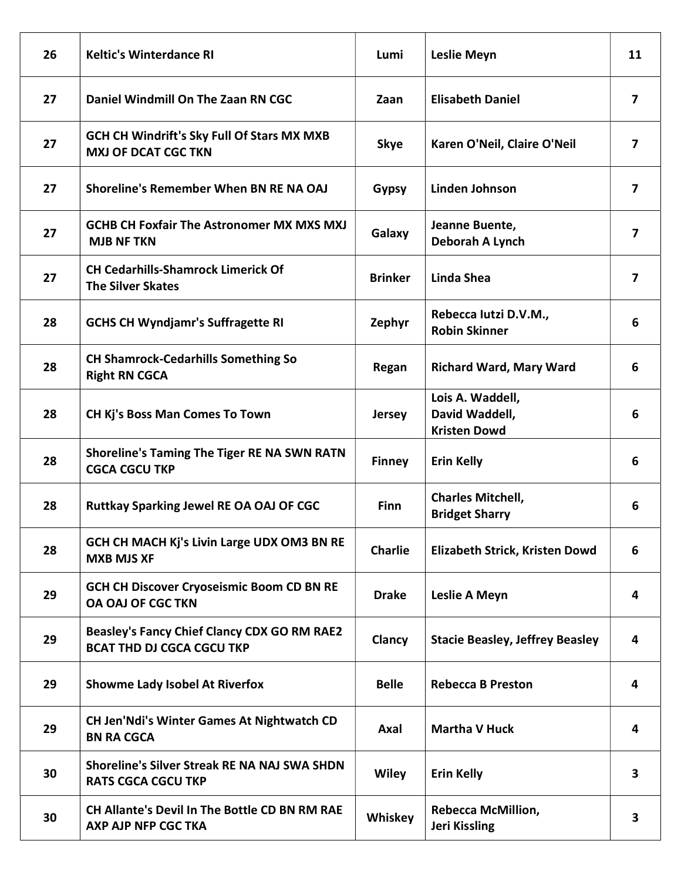| 26 | <b>Keltic's Winterdance RI</b>                                                         | Lumi           | <b>Leslie Meyn</b>                                        | 11                      |
|----|----------------------------------------------------------------------------------------|----------------|-----------------------------------------------------------|-------------------------|
| 27 | Daniel Windmill On The Zaan RN CGC                                                     | Zaan           | <b>Elisabeth Daniel</b>                                   | $\boldsymbol{7}$        |
| 27 | <b>GCH CH Windrift's Sky Full Of Stars MX MXB</b><br><b>MXJ OF DCAT CGC TKN</b>        | <b>Skye</b>    | Karen O'Neil, Claire O'Neil                               | $\overline{7}$          |
| 27 | Shoreline's Remember When BN RE NA OAJ                                                 | <b>Gypsy</b>   | Linden Johnson                                            | $\overline{7}$          |
| 27 | <b>GCHB CH Foxfair The Astronomer MX MXS MXJ</b><br><b>MJB NF TKN</b>                  | Galaxy         | Jeanne Buente,<br>Deborah A Lynch                         | $\overline{\mathbf{z}}$ |
| 27 | <b>CH Cedarhills-Shamrock Limerick Of</b><br><b>The Silver Skates</b>                  | <b>Brinker</b> | Linda Shea                                                | $\overline{ }$          |
| 28 | <b>GCHS CH Wyndjamr's Suffragette RI</b>                                               | Zephyr         | Rebecca lutzi D.V.M.,<br><b>Robin Skinner</b>             | 6                       |
| 28 | <b>CH Shamrock-Cedarhills Something So</b><br><b>Right RN CGCA</b>                     | Regan          | <b>Richard Ward, Mary Ward</b>                            | 6                       |
| 28 | <b>CH Kj's Boss Man Comes To Town</b>                                                  | <b>Jersey</b>  | Lois A. Waddell,<br>David Waddell,<br><b>Kristen Dowd</b> | 6                       |
| 28 | <b>Shoreline's Taming The Tiger RE NA SWN RATN</b><br><b>CGCA CGCU TKP</b>             | <b>Finney</b>  | <b>Erin Kelly</b>                                         | 6                       |
| 28 | <b>Ruttkay Sparking Jewel RE OA OAJ OF CGC</b>                                         | <b>Finn</b>    | <b>Charles Mitchell,</b><br><b>Bridget Sharry</b>         | 6                       |
| 28 | GCH CH MACH Kj's Livin Large UDX OM3 BN RE<br><b>MXB MJS XF</b>                        | <b>Charlie</b> | Elizabeth Strick, Kristen Dowd                            | 6                       |
| 29 | <b>GCH CH Discover Cryoseismic Boom CD BN RE</b><br><b>OA OAJ OF CGC TKN</b>           | <b>Drake</b>   | <b>Leslie A Meyn</b>                                      | 4                       |
| 29 | <b>Beasley's Fancy Chief Clancy CDX GO RM RAE2</b><br><b>BCAT THD DJ CGCA CGCU TKP</b> | Clancy         | <b>Stacie Beasley, Jeffrey Beasley</b>                    | 4                       |
| 29 | <b>Showme Lady Isobel At Riverfox</b>                                                  | <b>Belle</b>   | <b>Rebecca B Preston</b>                                  | 4                       |
| 29 | <b>CH Jen'Ndi's Winter Games At Nightwatch CD</b><br><b>BN RA CGCA</b>                 | Axal           | <b>Martha V Huck</b>                                      | 4                       |
| 30 | <b>Shoreline's Silver Streak RE NA NAJ SWA SHDN</b><br><b>RATS CGCA CGCU TKP</b>       | <b>Wiley</b>   | <b>Erin Kelly</b>                                         | 3                       |
| 30 | CH Allante's Devil In The Bottle CD BN RM RAE<br><b>AXP AJP NFP CGC TKA</b>            | Whiskey        | <b>Rebecca McMillion,</b><br><b>Jeri Kissling</b>         | 3                       |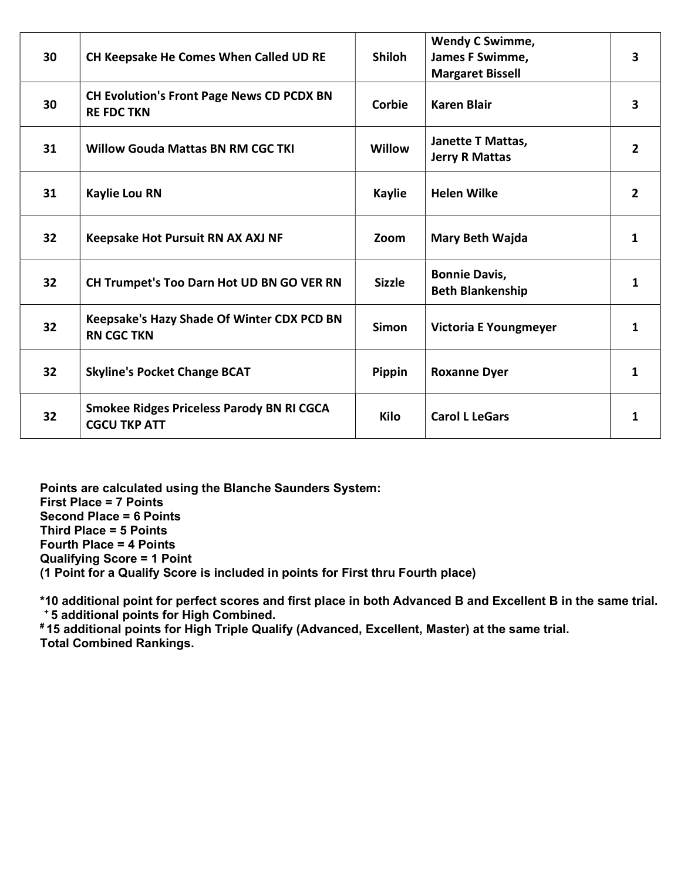| 30 | CH Keepsake He Comes When Called UD RE                                  | <b>Shiloh</b> | <b>Wendy C Swimme,</b><br>James F Swimme,<br><b>Margaret Bissell</b> | 3              |
|----|-------------------------------------------------------------------------|---------------|----------------------------------------------------------------------|----------------|
| 30 | <b>CH Evolution's Front Page News CD PCDX BN</b><br><b>RE FDC TKN</b>   | Corbie        | <b>Karen Blair</b>                                                   | 3              |
| 31 | <b>Willow Gouda Mattas BN RM CGC TKI</b>                                | <b>Willow</b> | <b>Janette T Mattas,</b><br><b>Jerry R Mattas</b>                    | $\overline{2}$ |
| 31 | <b>Kaylie Lou RN</b>                                                    | <b>Kaylie</b> | <b>Helen Wilke</b>                                                   | $\overline{2}$ |
| 32 | Keepsake Hot Pursuit RN AX AXJ NF                                       | Zoom          | <b>Mary Beth Wajda</b>                                               | 1              |
| 32 | CH Trumpet's Too Darn Hot UD BN GO VER RN                               | <b>Sizzle</b> | <b>Bonnie Davis,</b><br><b>Beth Blankenship</b>                      | 1              |
| 32 | Keepsake's Hazy Shade Of Winter CDX PCD BN<br><b>RN CGC TKN</b>         | <b>Simon</b>  | <b>Victoria E Youngmeyer</b>                                         | 1              |
| 32 | <b>Skyline's Pocket Change BCAT</b>                                     | Pippin        | <b>Roxanne Dyer</b>                                                  | 1              |
| 32 | <b>Smokee Ridges Priceless Parody BN RI CGCA</b><br><b>CGCU TKP ATT</b> | Kilo          | <b>Carol L LeGars</b>                                                | 1              |

Points are calculated using the Blanche Saunders System: First Place = 7 Points Second Place = 6 Points Third Place = 5 Points Fourth Place = 4 Points Qualifying Score = 1 Point (1 Point for a Qualify Score is included in points for First thru Fourth place)

\*10 additional point for perfect scores and first place in both Advanced B and Excellent B in the same trial.

<sup>+</sup>5 additional points for High Combined.

# 15 additional points for High Triple Qualify (Advanced, Excellent, Master) at the same trial. Total Combined Rankings.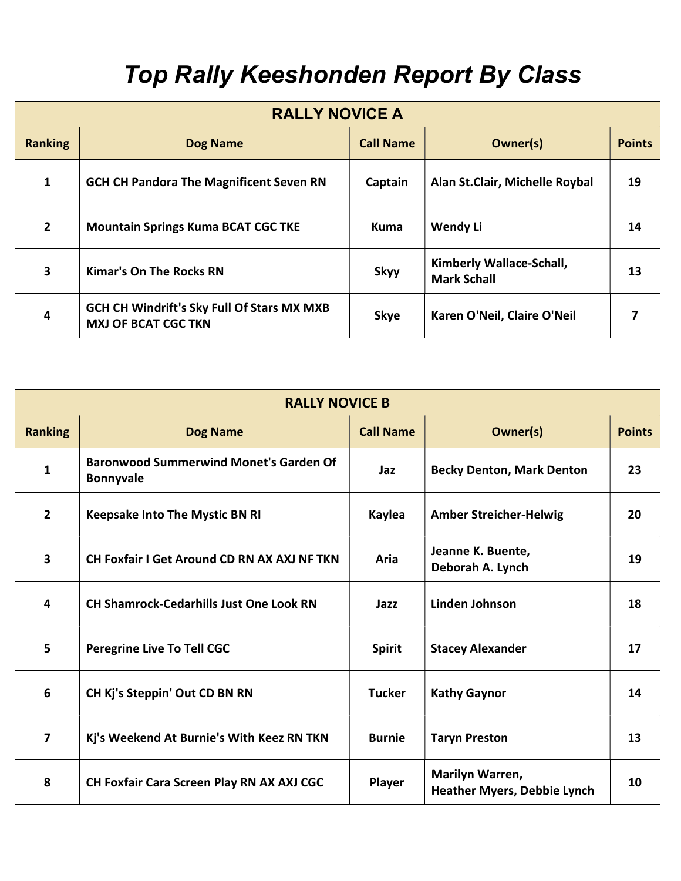## Top Rally Keeshonden Report By Class

| <b>RALLY NOVICE A</b> |                                                                                 |                  |                                                |               |  |
|-----------------------|---------------------------------------------------------------------------------|------------------|------------------------------------------------|---------------|--|
| <b>Ranking</b>        | <b>Dog Name</b>                                                                 | <b>Call Name</b> | Owner(s)                                       | <b>Points</b> |  |
| 1                     | <b>GCH CH Pandora The Magnificent Seven RN</b>                                  | Captain          | Alan St.Clair, Michelle Roybal                 | 19            |  |
| $\overline{2}$        | <b>Mountain Springs Kuma BCAT CGC TKE</b>                                       | <b>Kuma</b>      | <b>Wendy Li</b>                                | 14            |  |
| 3                     | <b>Kimar's On The Rocks RN</b>                                                  | <b>Skyy</b>      | Kimberly Wallace-Schall,<br><b>Mark Schall</b> | 13            |  |
| 4                     | <b>GCH CH Windrift's Sky Full Of Stars MX MXB</b><br><b>MXJ OF BCAT CGC TKN</b> | <b>Skye</b>      | Karen O'Neil, Claire O'Neil                    |               |  |

| <b>RALLY NOVICE B</b>   |                                                                   |                  |                                                       |               |
|-------------------------|-------------------------------------------------------------------|------------------|-------------------------------------------------------|---------------|
| <b>Ranking</b>          | <b>Dog Name</b>                                                   | <b>Call Name</b> | Owner(s)                                              | <b>Points</b> |
| 1                       | <b>Baronwood Summerwind Monet's Garden Of</b><br><b>Bonnyvale</b> | Jaz              | <b>Becky Denton, Mark Denton</b>                      | 23            |
| $\overline{2}$          | <b>Keepsake Into The Mystic BN RI</b>                             | Kaylea           | <b>Amber Streicher-Helwig</b>                         | 20            |
| 3                       | CH Foxfair I Get Around CD RN AX AXJ NF TKN                       | Aria             | Jeanne K. Buente,<br>Deborah A. Lynch                 | 19            |
| 4                       | <b>CH Shamrock-Cedarhills Just One Look RN</b>                    | Jazz             | <b>Linden Johnson</b>                                 | 18            |
| 5                       | <b>Peregrine Live To Tell CGC</b>                                 | <b>Spirit</b>    | <b>Stacey Alexander</b>                               | 17            |
| 6                       | CH Kj's Steppin' Out CD BN RN                                     | <b>Tucker</b>    | <b>Kathy Gaynor</b>                                   | 14            |
| $\overline{\mathbf{z}}$ | Kj's Weekend At Burnie's With Keez RN TKN                         | <b>Burnie</b>    | <b>Taryn Preston</b>                                  | 13            |
| 8                       | CH Foxfair Cara Screen Play RN AX AXJ CGC                         | Player           | Marilyn Warren,<br><b>Heather Myers, Debbie Lynch</b> | 10            |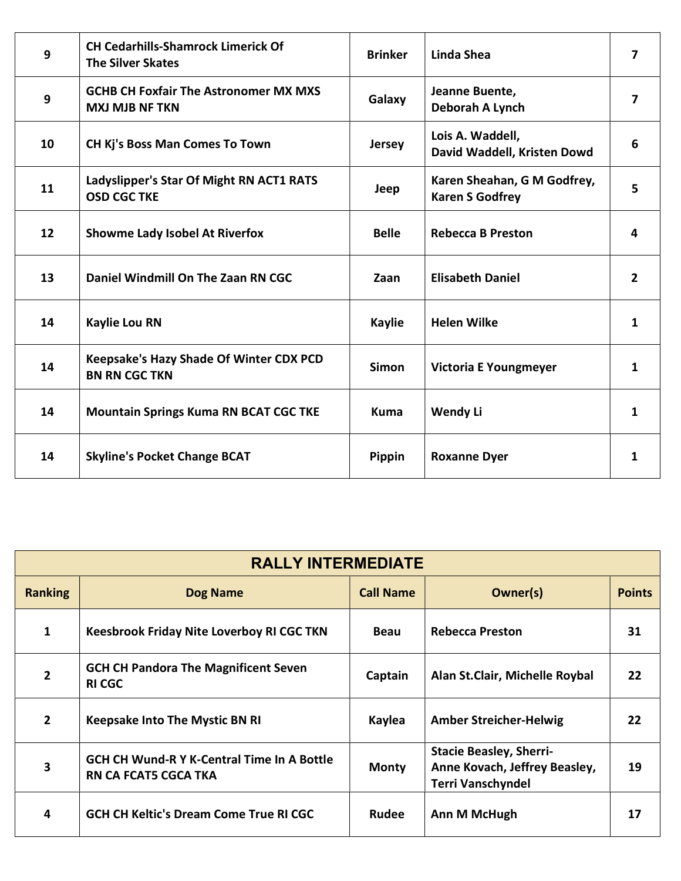| 9  | <b>CH Cedarhills-Shamrock Limerick Of</b><br><b>The Silver Skates</b>  | <b>Brinker</b> | <b>Linda Shea</b>                                     | $\overline{\mathbf{z}}$ |
|----|------------------------------------------------------------------------|----------------|-------------------------------------------------------|-------------------------|
| 9  | <b>GCHB CH Foxfair The Astronomer MX MXS</b><br><b>MXJ MJB NF TKN</b>  | Galaxy         | Jeanne Buente,<br>Deborah A Lynch                     | $\overline{\mathbf{z}}$ |
| 10 | CH Kj's Boss Man Comes To Town                                         | <b>Jersey</b>  | Lois A. Waddell,<br>David Waddell, Kristen Dowd       | 6                       |
| 11 | Ladyslipper's Star Of Might RN ACT1 RATS<br><b>OSD CGC TKE</b>         | Jeep           | Karen Sheahan, G M Godfrey,<br><b>Karen S Godfrey</b> | 5                       |
| 12 | <b>Showme Lady Isobel At Riverfox</b>                                  | <b>Belle</b>   | <b>Rebecca B Preston</b>                              | 4                       |
| 13 | Daniel Windmill On The Zaan RN CGC                                     | Zaan           | <b>Elisabeth Daniel</b>                               | $\overline{2}$          |
| 14 | <b>Kaylie Lou RN</b>                                                   | <b>Kaylie</b>  | <b>Helen Wilke</b>                                    | $\mathbf{1}$            |
| 14 | <b>Keepsake's Hazy Shade Of Winter CDX PCD</b><br><b>BN RN CGC TKN</b> | <b>Simon</b>   | <b>Victoria E Youngmeyer</b>                          | 1                       |
| 14 | <b>Mountain Springs Kuma RN BCAT CGC TKE</b>                           | <b>Kuma</b>    | <b>Wendy Li</b>                                       | 1                       |
| 14 | <b>Skyline's Pocket Change BCAT</b>                                    | Pippin         | <b>Roxanne Dyer</b>                                   | 1                       |

|                | <b>RALLY INTERMEDIATE</b>                                                        |                  |                                                                                             |               |  |  |
|----------------|----------------------------------------------------------------------------------|------------------|---------------------------------------------------------------------------------------------|---------------|--|--|
| <b>Ranking</b> | <b>Dog Name</b>                                                                  | <b>Call Name</b> | Owner(s)                                                                                    | <b>Points</b> |  |  |
| 1              | <b>Keesbrook Friday Nite Loverboy RI CGC TKN</b>                                 | <b>Beau</b>      | <b>Rebecca Preston</b>                                                                      | 31            |  |  |
| $\overline{2}$ | <b>GCH CH Pandora The Magnificent Seven</b><br><b>RI CGC</b>                     | Captain          | Alan St.Clair, Michelle Roybal                                                              | 22            |  |  |
| $\overline{2}$ | <b>Keepsake Into The Mystic BN RI</b>                                            | Kaylea           | <b>Amber Streicher-Helwig</b>                                                               | 22            |  |  |
| 3              | <b>GCH CH Wund-R Y K-Central Time In A Bottle</b><br><b>RN CA FCAT5 CGCA TKA</b> | <b>Monty</b>     | <b>Stacie Beasley, Sherri-</b><br>Anne Kovach, Jeffrey Beasley,<br><b>Terri Vanschyndel</b> | 19            |  |  |
| 4              | <b>GCH CH Keltic's Dream Come True RI CGC</b>                                    | <b>Rudee</b>     | Ann M McHugh                                                                                | 17            |  |  |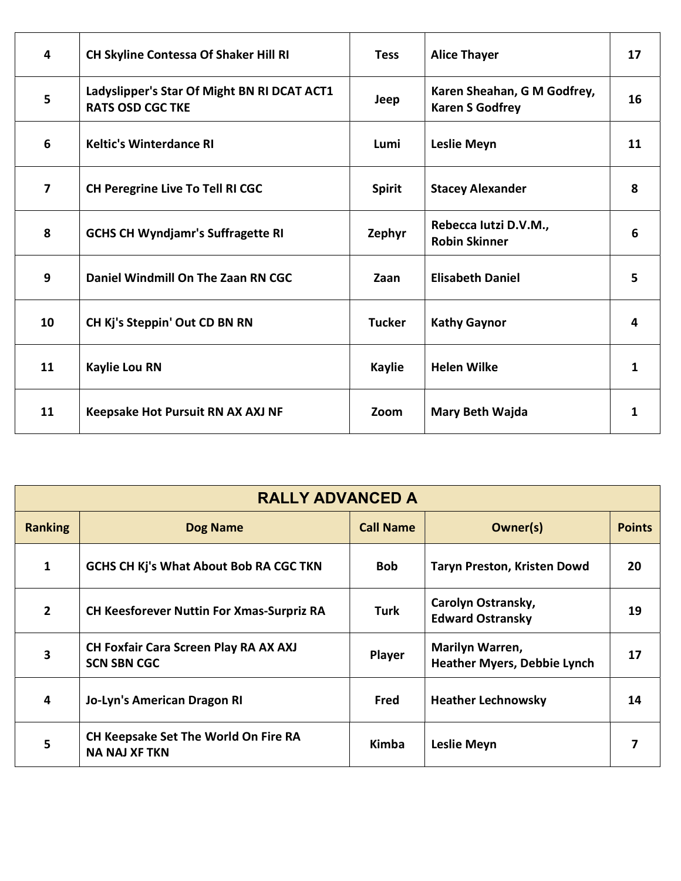| 4                       | <b>CH Skyline Contessa Of Shaker Hill RI</b>                           | <b>Tess</b>   | <b>Alice Thayer</b>                                   | 17 |
|-------------------------|------------------------------------------------------------------------|---------------|-------------------------------------------------------|----|
| 5                       | Ladyslipper's Star Of Might BN RI DCAT ACT1<br><b>RATS OSD CGC TKE</b> | Jeep          | Karen Sheahan, G M Godfrey,<br><b>Karen S Godfrey</b> | 16 |
| 6                       | <b>Keltic's Winterdance RI</b>                                         | Lumi          | <b>Leslie Meyn</b>                                    | 11 |
| $\overline{\mathbf{z}}$ | <b>CH Peregrine Live To Tell RI CGC</b>                                | <b>Spirit</b> | <b>Stacey Alexander</b>                               | 8  |
| 8                       | <b>GCHS CH Wyndjamr's Suffragette RI</b>                               | Zephyr        | Rebecca Iutzi D.V.M.,<br><b>Robin Skinner</b>         | 6  |
| 9                       | Daniel Windmill On The Zaan RN CGC                                     | Zaan          | <b>Elisabeth Daniel</b>                               | 5  |
| 10                      | CH Kj's Steppin' Out CD BN RN                                          | <b>Tucker</b> | <b>Kathy Gaynor</b>                                   | 4  |
| 11                      | <b>Kaylie Lou RN</b>                                                   | <b>Kaylie</b> | <b>Helen Wilke</b>                                    | 1  |
| 11                      | Keepsake Hot Pursuit RN AX AXJ NF                                      | Zoom          | Mary Beth Wajda                                       | 1  |

| <b>RALLY ADVANCED A</b> |                                                                    |                  |                                                              |               |
|-------------------------|--------------------------------------------------------------------|------------------|--------------------------------------------------------------|---------------|
| <b>Ranking</b>          | <b>Dog Name</b>                                                    | <b>Call Name</b> | Owner(s)                                                     | <b>Points</b> |
| 1                       | <b>GCHS CH Kj's What About Bob RA CGC TKN</b>                      | <b>Bob</b>       | <b>Taryn Preston, Kristen Dowd</b>                           | 20            |
| $\overline{2}$          | <b>CH Keesforever Nuttin For Xmas-Surpriz RA</b>                   | Turk             | Carolyn Ostransky,<br><b>Edward Ostransky</b>                | 19            |
| 3                       | <b>CH Foxfair Cara Screen Play RA AX AXJ</b><br><b>SCN SBN CGC</b> | Player           | <b>Marilyn Warren,</b><br><b>Heather Myers, Debbie Lynch</b> | 17            |
| 4                       | Jo-Lyn's American Dragon RI                                        | Fred             | <b>Heather Lechnowsky</b>                                    | 14            |
| 5                       | CH Keepsake Set The World On Fire RA<br><b>NA NAJ XF TKN</b>       | Kimba            | <b>Leslie Meyn</b>                                           |               |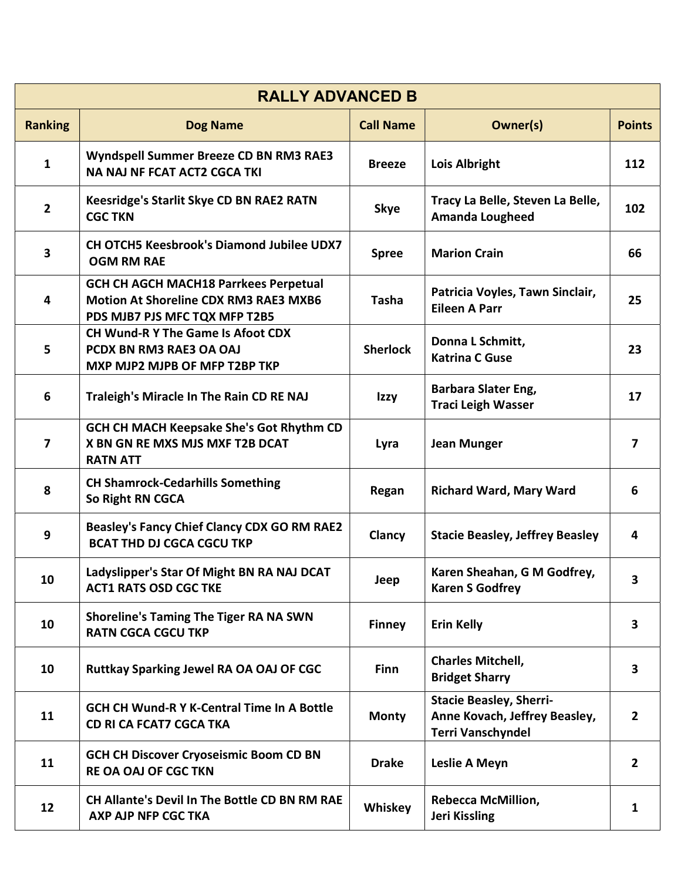|                         | <b>RALLY ADVANCED B</b>                                                                                                       |                  |                                                                                             |                         |  |  |
|-------------------------|-------------------------------------------------------------------------------------------------------------------------------|------------------|---------------------------------------------------------------------------------------------|-------------------------|--|--|
| <b>Ranking</b>          | <b>Dog Name</b>                                                                                                               | <b>Call Name</b> | Owner(s)                                                                                    | <b>Points</b>           |  |  |
| $\mathbf{1}$            | Wyndspell Summer Breeze CD BN RM3 RAE3<br><b>NA NAJ NF FCAT ACT2 CGCA TKI</b>                                                 | <b>Breeze</b>    | Lois Albright                                                                               | 112                     |  |  |
| $\overline{2}$          | Keesridge's Starlit Skye CD BN RAE2 RATN<br><b>CGC TKN</b>                                                                    | <b>Skye</b>      | Tracy La Belle, Steven La Belle,<br><b>Amanda Lougheed</b>                                  | 102                     |  |  |
| 3                       | CH OTCH5 Keesbrook's Diamond Jubilee UDX7<br><b>OGM RM RAE</b>                                                                | <b>Spree</b>     | <b>Marion Crain</b>                                                                         | 66                      |  |  |
| 4                       | <b>GCH CH AGCH MACH18 Parrkees Perpetual</b><br><b>Motion At Shoreline CDX RM3 RAE3 MXB6</b><br>PDS MJB7 PJS MFC TQX MFP T2B5 | <b>Tasha</b>     | Patricia Voyles, Tawn Sinclair,<br><b>Eileen A Parr</b>                                     | 25                      |  |  |
| 5                       | <b>CH Wund-R Y The Game Is Afoot CDX</b><br>PCDX BN RM3 RAE3 OA OAJ<br>MXP MJP2 MJPB OF MFP T2BP TKP                          | <b>Sherlock</b>  | Donna L Schmitt,<br><b>Katrina C Guse</b>                                                   | 23                      |  |  |
| 6                       | Traleigh's Miracle In The Rain CD RE NAJ                                                                                      | Izzy             | Barbara Slater Eng,<br><b>Traci Leigh Wasser</b>                                            | 17                      |  |  |
| $\overline{\mathbf{z}}$ | GCH CH MACH Keepsake She's Got Rhythm CD<br>X BN GN RE MXS MJS MXF T2B DCAT<br><b>RATN ATT</b>                                | Lyra             | <b>Jean Munger</b>                                                                          | $\overline{7}$          |  |  |
| 8                       | <b>CH Shamrock-Cedarhills Something</b><br>So Right RN CGCA                                                                   | Regan            | <b>Richard Ward, Mary Ward</b>                                                              | 6                       |  |  |
| 9                       | <b>Beasley's Fancy Chief Clancy CDX GO RM RAE2</b><br><b>BCAT THD DJ CGCA CGCU TKP</b>                                        | Clancy           | <b>Stacie Beasley, Jeffrey Beasley</b>                                                      | 4                       |  |  |
| 10                      | Ladyslipper's Star Of Might BN RA NAJ DCAT<br><b>ACT1 RATS OSD CGC TKE</b>                                                    | Jeep             | Karen Sheahan, G M Godfrey,<br><b>Karen S Godfrey</b>                                       | 3                       |  |  |
| 10                      | <b>Shoreline's Taming The Tiger RA NA SWN</b><br><b>RATN CGCA CGCU TKP</b>                                                    | <b>Finney</b>    | <b>Erin Kelly</b>                                                                           | $\overline{\mathbf{3}}$ |  |  |
| 10                      | Ruttkay Sparking Jewel RA OA OAJ OF CGC                                                                                       | Finn             | <b>Charles Mitchell,</b><br><b>Bridget Sharry</b>                                           | 3                       |  |  |
| 11                      | <b>GCH CH Wund-R Y K-Central Time In A Bottle</b><br><b>CD RI CA FCAT7 CGCA TKA</b>                                           | <b>Monty</b>     | <b>Stacie Beasley, Sherri-</b><br>Anne Kovach, Jeffrey Beasley,<br><b>Terri Vanschyndel</b> | $2^{\circ}$             |  |  |
| 11                      | <b>GCH CH Discover Cryoseismic Boom CD BN</b><br>RE OA OAJ OF CGC TKN                                                         | <b>Drake</b>     | Leslie A Meyn                                                                               | $\overline{2}$          |  |  |
| 12                      | CH Allante's Devil In The Bottle CD BN RM RAE<br><b>AXP AJP NFP CGC TKA</b>                                                   | Whiskey          | <b>Rebecca McMillion,</b><br><b>Jeri Kissling</b>                                           | $\mathbf{1}$            |  |  |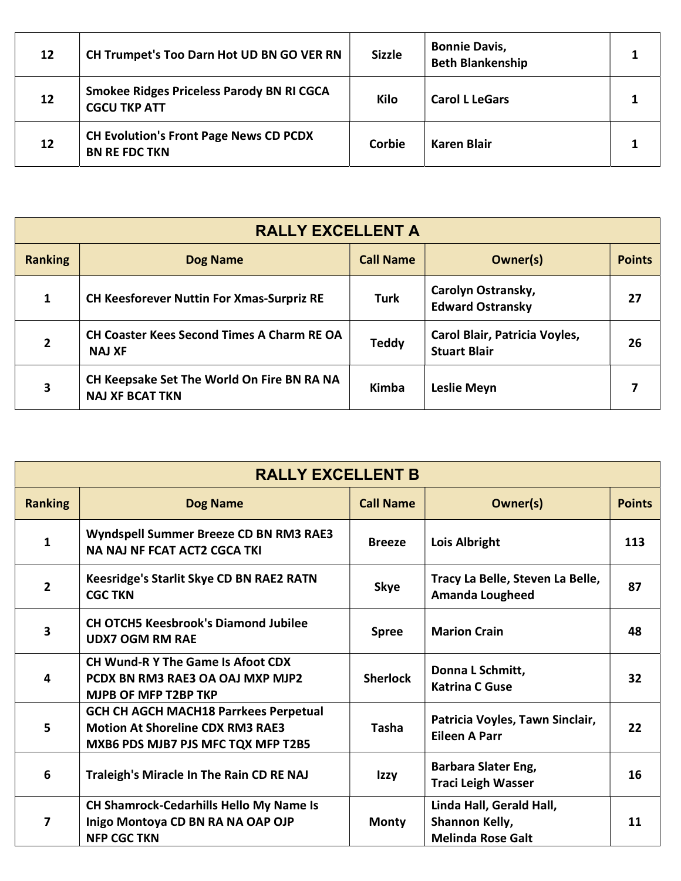| 12 | CH Trumpet's Too Darn Hot UD BN GO VER RN                               | <b>Sizzle</b> | <b>Bonnie Davis,</b><br><b>Beth Blankenship</b> |  |
|----|-------------------------------------------------------------------------|---------------|-------------------------------------------------|--|
| 12 | <b>Smokee Ridges Priceless Parody BN RI CGCA</b><br><b>CGCU TKP ATT</b> | Kilo          | <b>Carol L LeGars</b>                           |  |
| 12 | <b>CH Evolution's Front Page News CD PCDX</b><br><b>BN RE FDC TKN</b>   | Corbie        | Karen Blair                                     |  |

| <b>RALLY EXCELLENT A</b> |                                                                      |                  |                                                      |               |
|--------------------------|----------------------------------------------------------------------|------------------|------------------------------------------------------|---------------|
| <b>Ranking</b>           | <b>Dog Name</b>                                                      | <b>Call Name</b> | Owner(s)                                             | <b>Points</b> |
|                          | <b>CH Keesforever Nuttin For Xmas-Surpriz RE</b>                     | <b>Turk</b>      | Carolyn Ostransky,<br><b>Edward Ostransky</b>        | 27            |
| 2                        | <b>CH Coaster Kees Second Times A Charm RE OA</b><br><b>NAJ XF</b>   | <b>Teddy</b>     | Carol Blair, Patricia Voyles,<br><b>Stuart Blair</b> | 26            |
| 3                        | CH Keepsake Set The World On Fire BN RA NA<br><b>NAJ XF BCAT TKN</b> | Kimba            | <b>Leslie Meyn</b>                                   |               |

| <b>RALLY EXCELLENT B</b> |                                                                                                                               |                  |                                                                        |               |
|--------------------------|-------------------------------------------------------------------------------------------------------------------------------|------------------|------------------------------------------------------------------------|---------------|
| <b>Ranking</b>           | <b>Dog Name</b>                                                                                                               | <b>Call Name</b> | Owner(s)                                                               | <b>Points</b> |
| 1                        | Wyndspell Summer Breeze CD BN RM3 RAE3<br><b>NA NAJ NF FCAT ACT2 CGCA TKI</b>                                                 | <b>Breeze</b>    | Lois Albright                                                          | 113           |
| $\mathbf{2}$             | <b>Keesridge's Starlit Skye CD BN RAE2 RATN</b><br><b>CGC TKN</b>                                                             | <b>Skye</b>      | Tracy La Belle, Steven La Belle,<br><b>Amanda Lougheed</b>             | 87            |
| 3                        | <b>CH OTCH5 Keesbrook's Diamond Jubilee</b><br><b>UDX7 OGM RM RAE</b>                                                         | <b>Spree</b>     | <b>Marion Crain</b>                                                    | 48            |
| 4                        | <b>CH Wund-R Y The Game Is Afoot CDX</b><br>PCDX BN RM3 RAE3 OA OAJ MXP MJP2<br>MJPB OF MFP T2BP TKP                          | <b>Sherlock</b>  | Donna L Schmitt,<br><b>Katrina C Guse</b>                              | 32            |
| 5                        | <b>GCH CH AGCH MACH18 Parrkees Perpetual</b><br><b>Motion At Shoreline CDX RM3 RAE3</b><br>MXB6 PDS MJB7 PJS MFC TQX MFP T2B5 | Tasha            | Patricia Voyles, Tawn Sinclair,<br><b>Eileen A Parr</b>                | 22            |
| 6                        | Traleigh's Miracle In The Rain CD RE NAJ                                                                                      | Izzy             | <b>Barbara Slater Eng,</b><br><b>Traci Leigh Wasser</b>                | 16            |
| 7                        | <b>CH Shamrock-Cedarhills Hello My Name Is</b><br>Inigo Montoya CD BN RA NA OAP OJP<br><b>NFP CGC TKN</b>                     | <b>Monty</b>     | Linda Hall, Gerald Hall,<br>Shannon Kelly,<br><b>Melinda Rose Galt</b> | 11            |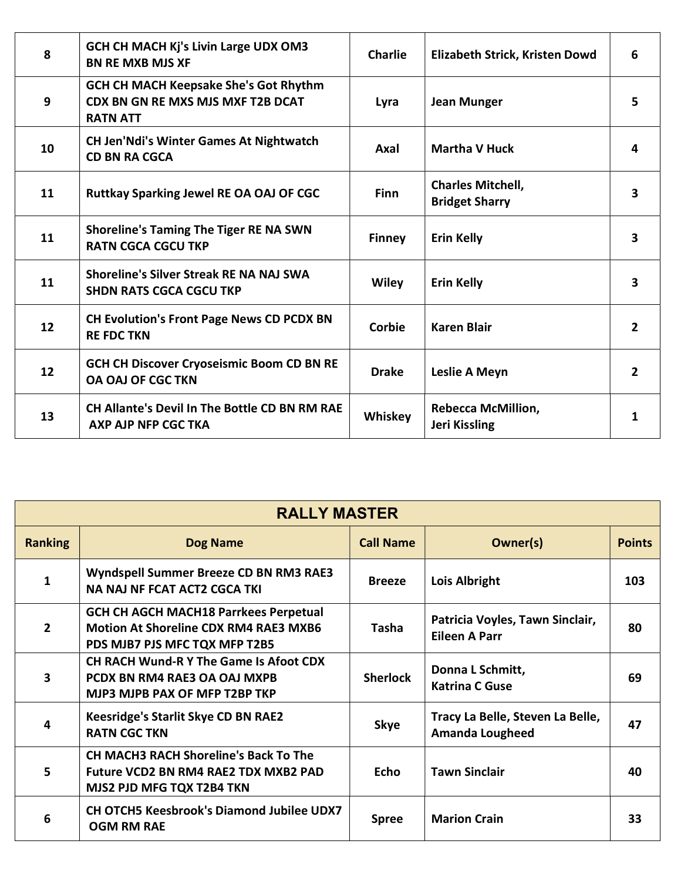| 8  | <b>GCH CH MACH Kj's Livin Large UDX OM3</b><br><b>BN RE MXB MJS XF</b>                                      | <b>Charlie</b> | Elizabeth Strick, Kristen Dowd                    | 6                       |
|----|-------------------------------------------------------------------------------------------------------------|----------------|---------------------------------------------------|-------------------------|
| 9  | <b>GCH CH MACH Keepsake She's Got Rhythm</b><br><b>CDX BN GN RE MXS MJS MXF T2B DCAT</b><br><b>RATN ATT</b> | Lyra           | <b>Jean Munger</b>                                | 5.                      |
| 10 | <b>CH Jen'Ndi's Winter Games At Nightwatch</b><br><b>CD BN RA CGCA</b>                                      | Axal           | <b>Martha V Huck</b>                              | 4                       |
| 11 | <b>Ruttkay Sparking Jewel RE OA OAJ OF CGC</b>                                                              | <b>Finn</b>    | <b>Charles Mitchell,</b><br><b>Bridget Sharry</b> | $\overline{\mathbf{3}}$ |
| 11 | <b>Shoreline's Taming The Tiger RE NA SWN</b><br><b>RATN CGCA CGCU TKP</b>                                  | <b>Finney</b>  | <b>Erin Kelly</b>                                 | 3                       |
| 11 | Shoreline's Silver Streak RE NA NAJ SWA<br><b>SHDN RATS CGCA CGCU TKP</b>                                   | <b>Wiley</b>   | <b>Erin Kelly</b>                                 | 3                       |
| 12 | <b>CH Evolution's Front Page News CD PCDX BN</b><br><b>RE FDC TKN</b>                                       | Corbie         | <b>Karen Blair</b>                                | $\overline{2}$          |
| 12 | <b>GCH CH Discover Cryoseismic Boom CD BN RE</b><br><b>OA OAJ OF CGC TKN</b>                                | <b>Drake</b>   | Leslie A Meyn                                     | $\overline{2}$          |
| 13 | <b>CH Allante's Devil In The Bottle CD BN RM RAE</b><br>AXP AJP NFP CGC TKA                                 | Whiskey        | <b>Rebecca McMillion,</b><br>Jeri Kissling        | 1                       |

| <b>RALLY MASTER</b> |                                                                                                                               |                  |                                                            |               |  |
|---------------------|-------------------------------------------------------------------------------------------------------------------------------|------------------|------------------------------------------------------------|---------------|--|
| <b>Ranking</b>      | <b>Dog Name</b>                                                                                                               | <b>Call Name</b> | Owner(s)                                                   | <b>Points</b> |  |
| 1                   | Wyndspell Summer Breeze CD BN RM3 RAE3<br><b>NA NAJ NF FCAT ACT2 CGCA TKI</b>                                                 | <b>Breeze</b>    | Lois Albright                                              | 103           |  |
| $\overline{2}$      | <b>GCH CH AGCH MACH18 Parrkees Perpetual</b><br><b>Motion At Shoreline CDX RM4 RAE3 MXB6</b><br>PDS MJB7 PJS MFC TQX MFP T2B5 | <b>Tasha</b>     | Patricia Voyles, Tawn Sinclair,<br><b>Eileen A Parr</b>    | 80            |  |
| 3                   | <b>CH RACH Wund-R Y The Game Is Afoot CDX</b><br>PCDX BN RM4 RAE3 OA OAJ MXPB<br>MJP3 MJPB PAX OF MFP T2BP TKP                | <b>Sherlock</b>  | Donna L Schmitt,<br><b>Katrina C Guse</b>                  | 69            |  |
|                     | Keesridge's Starlit Skye CD BN RAE2<br><b>RATN CGC TKN</b>                                                                    | <b>Skye</b>      | Tracy La Belle, Steven La Belle,<br><b>Amanda Lougheed</b> | 47            |  |
| 5                   | <b>CH MACH3 RACH Shoreline's Back To The</b><br>Future VCD2 BN RM4 RAE2 TDX MXB2 PAD<br>MJS2 PJD MFG TQX T2B4 TKN             | <b>Echo</b>      | <b>Tawn Sinclair</b>                                       | 40            |  |
| 6                   | <b>CH OTCH5 Keesbrook's Diamond Jubilee UDX7</b><br><b>OGM RM RAE</b>                                                         | <b>Spree</b>     | <b>Marion Crain</b>                                        | 33            |  |